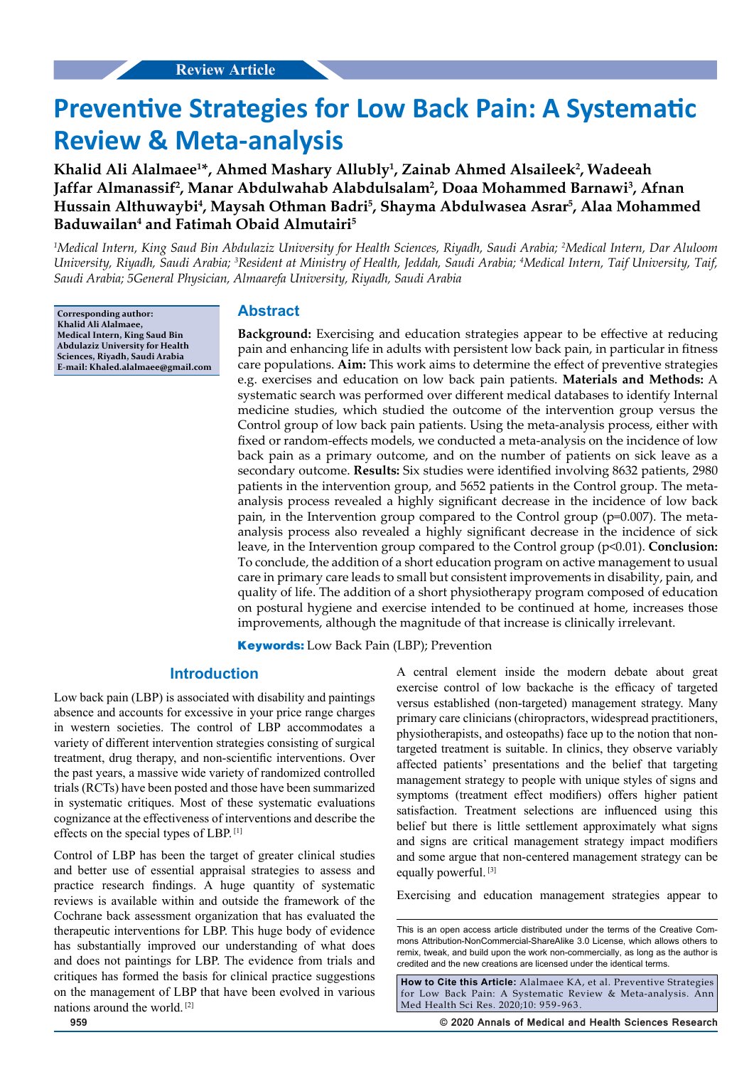# **Preventive Strategies for Low Back Pain: A Systematic Review & Meta-analysis**

**Khalid Ali Alalmaee1 \*, Ahmed Mashary Allubly1 , Zainab Ahmed Alsaileek2 , Wadeeah**  Jaffar Almanassif<sup>2</sup>, Manar Abdulwahab Alabdulsalam<sup>2</sup>, Doaa Mohammed Barnawi<sup>3</sup>, Afnan **Hussain Althuwaybi4 , Maysah Othman Badri5 , Shayma Abdulwasea Asrar5 , Alaa Mohammed Baduwailan4 and Fatimah Obaid Almutairi5**

*1 Medical Intern, King Saud Bin Abdulaziz University for Health Sciences, Riyadh, Saudi Arabia; 2 Medical Intern, Dar Aluloom University, Riyadh, Saudi Arabia; 3 Resident at Ministry of Health, Jeddah, Saudi Arabia; 4 Medical Intern, Taif University, Taif, Saudi Arabia; 5General Physician, Almaarefa University, Riyadh, Saudi Arabia*

**Corresponding author: Khalid Ali Alalmaee, Medical Intern, King Saud Bin Abdulaziz University for Health Sciences, Riyadh, Saudi Arabia E-mail: Khaled.alalmaee@gmail.com**

## **Abstract**

**Background:** Exercising and education strategies appear to be effective at reducing pain and enhancing life in adults with persistent low back pain, in particular in fitness care populations. **Aim:** This work aims to determine the effect of preventive strategies e.g. exercises and education on low back pain patients. **Materials and Methods:** A systematic search was performed over different medical databases to identify Internal medicine studies, which studied the outcome of the intervention group versus the Control group of low back pain patients. Using the meta-analysis process, either with fixed or random-effects models, we conducted a meta-analysis on the incidence of low back pain as a primary outcome, and on the number of patients on sick leave as a secondary outcome. **Results:** Six studies were identified involving 8632 patients, 2980 patients in the intervention group, and 5652 patients in the Control group. The metaanalysis process revealed a highly significant decrease in the incidence of low back pain, in the Intervention group compared to the Control group (p=0.007). The metaanalysis process also revealed a highly significant decrease in the incidence of sick leave, in the Intervention group compared to the Control group (p<0.01). **Conclusion:** To conclude, the addition of a short education program on active management to usual care in primary care leads to small but consistent improvements in disability, pain, and quality of life. The addition of a short physiotherapy program composed of education on postural hygiene and exercise intended to be continued at home, increases those improvements, although the magnitude of that increase is clinically irrelevant.

**Keywords:** Low Back Pain (LBP); Prevention

## **Introduction**

Low back pain (LBP) is associated with disability and paintings absence and accounts for excessive in your price range charges in western societies. The control of LBP accommodates a variety of different intervention strategies consisting of surgical treatment, drug therapy, and non-scientific interventions. Over the past years, a massive wide variety of randomized controlled trials (RCTs) have been posted and those have been summarized in systematic critiques. Most of these systematic evaluations cognizance at the effectiveness of interventions and describe the effects on the special types of LBP. [1]

Control of LBP has been the target of greater clinical studies and better use of essential appraisal strategies to assess and practice research findings. A huge quantity of systematic reviews is available within and outside the framework of the Cochrane back assessment organization that has evaluated the therapeutic interventions for LBP. This huge body of evidence has substantially improved our understanding of what does and does not paintings for LBP. The evidence from trials and critiques has formed the basis for clinical practice suggestions on the management of LBP that have been evolved in various nations around the world. [2]

A central element inside the modern debate about great exercise control of low backache is the efficacy of targeted versus established (non-targeted) management strategy. Many primary care clinicians (chiropractors, widespread practitioners, physiotherapists, and osteopaths) face up to the notion that nontargeted treatment is suitable. In clinics, they observe variably affected patients' presentations and the belief that targeting management strategy to people with unique styles of signs and symptoms (treatment effect modifiers) offers higher patient satisfaction. Treatment selections are influenced using this belief but there is little settlement approximately what signs and signs are critical management strategy impact modifiers and some argue that non-centered management strategy can be equally powerful. [3]

Exercising and education management strategies appear to

**How to Cite this Article:** Alalmaee KA, et al. Preventive Strategies for Low Back Pain: A Systematic Review & Meta-analysis. Ann Med Health Sci Res. 2020;10: 959-963.

**959 © 2020 Annals of Medical and Health Sciences Research** 

This is an open access article distributed under the terms of the Creative Commons Attribution-NonCommercial-ShareAlike 3.0 License, which allows others to remix, tweak, and build upon the work non‑commercially, as long as the author is credited and the new creations are licensed under the identical terms.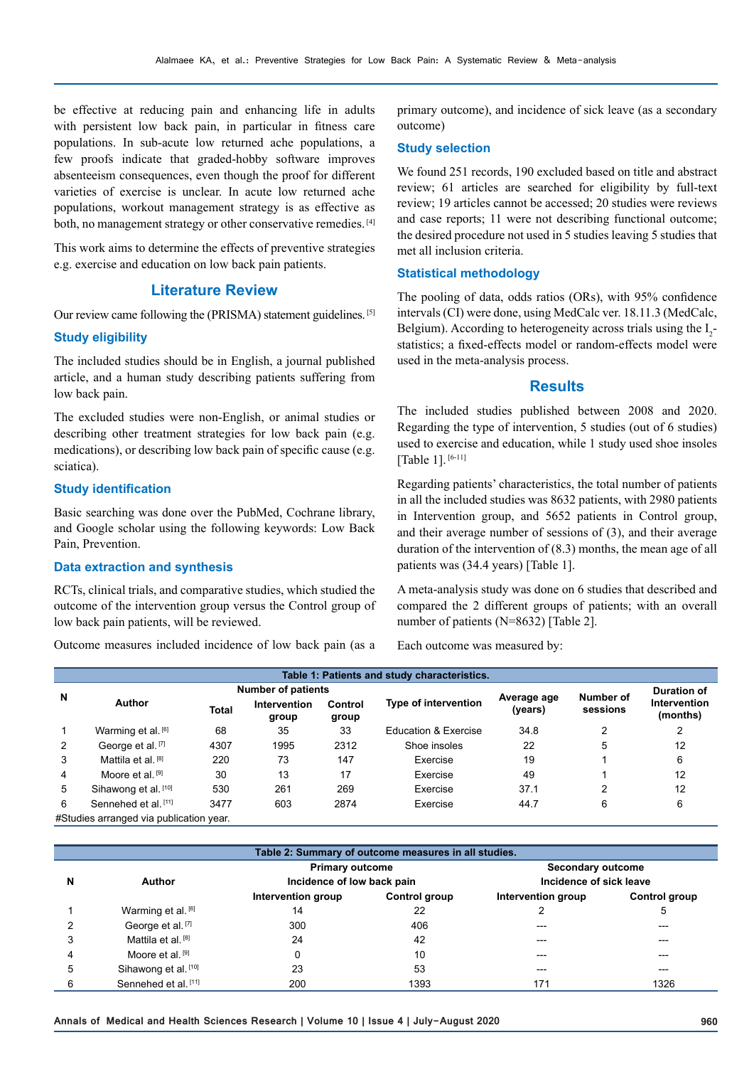be effective at reducing pain and enhancing life in adults with persistent low back pain, in particular in fitness care populations. In sub-acute low returned ache populations, a few proofs indicate that graded-hobby software improves absenteeism consequences, even though the proof for different varieties of exercise is unclear. In acute low returned ache populations, workout management strategy is as effective as both, no management strategy or other conservative remedies. [4]

This work aims to determine the effects of preventive strategies e.g. exercise and education on low back pain patients.

## **Literature Review**

Our review came following the (PRISMA) statement guidelines. [5]

#### **Study eligibility**

The included studies should be in English, a journal published article, and a human study describing patients suffering from low back pain.

The excluded studies were non-English, or animal studies or describing other treatment strategies for low back pain (e.g. medications), or describing low back pain of specific cause (e.g. sciatica).

#### **Study identification**

Basic searching was done over the PubMed, Cochrane library, and Google scholar using the following keywords: Low Back Pain, Prevention.

## **Data extraction and synthesis**

RCTs, clinical trials, and comparative studies, which studied the outcome of the intervention group versus the Control group of low back pain patients, will be reviewed.

Outcome measures included incidence of low back pain (as a

primary outcome), and incidence of sick leave (as a secondary outcome)

#### **Study selection**

We found 251 records, 190 excluded based on title and abstract review; 61 articles are searched for eligibility by full-text review; 19 articles cannot be accessed; 20 studies were reviews and case reports; 11 were not describing functional outcome; the desired procedure not used in 5 studies leaving 5 studies that met all inclusion criteria.

### **Statistical methodology**

The pooling of data, odds ratios (ORs), with 95% confidence intervals (CI) were done, using MedCalc ver. 18.11.3 (MedCalc, Belgium). According to heterogeneity across trials using the  $I_2$ statistics; a fixed-effects model or random-effects model were used in the meta-analysis process.

## **Results**

The included studies published between 2008 and 2020. Regarding the type of intervention, 5 studies (out of 6 studies) used to exercise and education, while 1 study used shoe insoles [Table 1]. [6-11]

Regarding patients' characteristics, the total number of patients in all the included studies was 8632 patients, with 2980 patients in Intervention group, and 5652 patients in Control group, and their average number of sessions of (3), and their average duration of the intervention of (8.3) months, the mean age of all patients was (34.4 years) [Table 1].

A meta-analysis study was done on 6 studies that described and compared the 2 different groups of patients; with an overall number of patients (N=8632) [Table 2].

Each outcome was measured by:

| Table 1: Patients and study characteristics. |                                        |              |                              |                  |                             |                        |                       |                          |  |  |
|----------------------------------------------|----------------------------------------|--------------|------------------------------|------------------|-----------------------------|------------------------|-----------------------|--------------------------|--|--|
| N                                            | <b>Number of patients</b>              |              |                              |                  |                             |                        |                       | <b>Duration of</b>       |  |  |
|                                              | <b>Author</b>                          | <b>Total</b> | <b>Intervention</b><br>group | Control<br>group | <b>Type of intervention</b> | Average age<br>(years) | Number of<br>sessions | Intervention<br>(months) |  |  |
| $\mathbf{1}$                                 | Warming et al. [6]                     | 68           | 35                           | 33               | Education & Exercise        | 34.8                   | 2                     |                          |  |  |
| 2                                            | George et al. [7]                      | 4307         | 1995                         | 2312             | Shoe insoles                | 22                     | 5                     | 12                       |  |  |
| 3                                            | Mattila et al. [8]                     | 220          | 73                           | 147              | Exercise                    | 19                     |                       | 6                        |  |  |
| 4                                            | Moore et al. [9]                       | 30           | 13                           | 17               | Exercise                    | 49                     |                       | 12                       |  |  |
| 5                                            | Sihawong et al. [10]                   | 530          | 261                          | 269              | Exercise                    | 37.1                   | 2                     | 12                       |  |  |
| 6                                            | Sennehed et al. <sup>[11]</sup>        | 3477         | 603                          | 2874             | Exercise                    | 44.7                   | 6                     | 6                        |  |  |
|                                              | #Studios arranged via publication voar |              |                              |                  |                             |                        |                       |                          |  |  |

itudies arranged

| Table 2: Summary of outcome measures in all studies. |                             |                            |               |                                                     |               |  |  |  |  |
|------------------------------------------------------|-----------------------------|----------------------------|---------------|-----------------------------------------------------|---------------|--|--|--|--|
|                                                      |                             | <b>Primary outcome</b>     |               | <b>Secondary outcome</b><br>Incidence of sick leave |               |  |  |  |  |
| N                                                    | Author                      | Incidence of low back pain |               |                                                     |               |  |  |  |  |
|                                                      |                             | Intervention group         | Control group | Intervention group                                  | Control group |  |  |  |  |
|                                                      | Warming et al. [6]          | 14                         | 22            |                                                     | 5             |  |  |  |  |
|                                                      | George et al. [7]           | 300                        | 406           | ---                                                 | $- - -$       |  |  |  |  |
| 3                                                    | Mattila et al. [8]          | 24                         | 42            |                                                     | $- - -$       |  |  |  |  |
| 4                                                    | Moore et al. <sup>[9]</sup> | 0                          | 10            | ---                                                 | ---           |  |  |  |  |
| 5                                                    | Sihawong et al. [10]        | 23                         | 53            | ---                                                 | $---$         |  |  |  |  |
| 6                                                    | Sennehed et al. [11]        | 200                        | 1393          | 171                                                 | 1326          |  |  |  |  |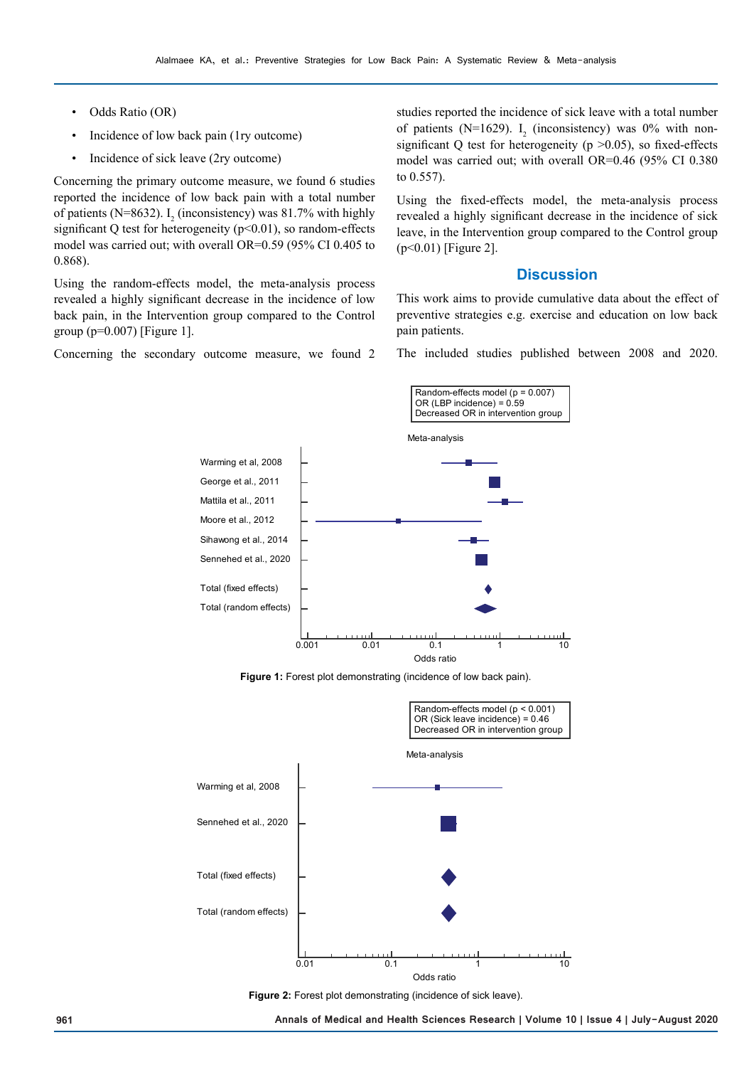- Odds Ratio (OR)
- Incidence of low back pain (1ry outcome)
- Incidence of sick leave (2ry outcome)

Concerning the primary outcome measure, we found 6 studies reported the incidence of low back pain with a total number of patients (N=8632).  $I_2$  (inconsistency) was 81.7% with highly significant Q test for heterogeneity  $(p<0.01)$ , so random-effects model was carried out; with overall OR=0.59 (95% CI 0.405 to 0.868).

Using the random-effects model, the meta-analysis process revealed a highly significant decrease in the incidence of low back pain, in the Intervention group compared to the Control group ( $p=0.007$ ) [Figure 1].

Concerning the secondary outcome measure, we found 2

studies reported the incidence of sick leave with a total number of patients (N=1629).  $I_2$  (inconsistency) was 0% with nonsignificant Q test for heterogeneity ( $p > 0.05$ ), so fixed-effects model was carried out; with overall OR=0.46 (95% CI 0.380 to 0.557).

Using the fixed-effects model, the meta-analysis process revealed a highly significant decrease in the incidence of sick leave, in the Intervention group compared to the Control group (p<0.01) [Figure 2].

# **Discussion**

This work aims to provide cumulative data about the effect of preventive strategies e.g. exercise and education on low back pain patients.

The included studies published between 2008 and 2020.



**Figure 1:** Forest plot demonstrating (incidence of low back pain).



**Figure 2:** Forest plot demonstrating (incidence of sick leave).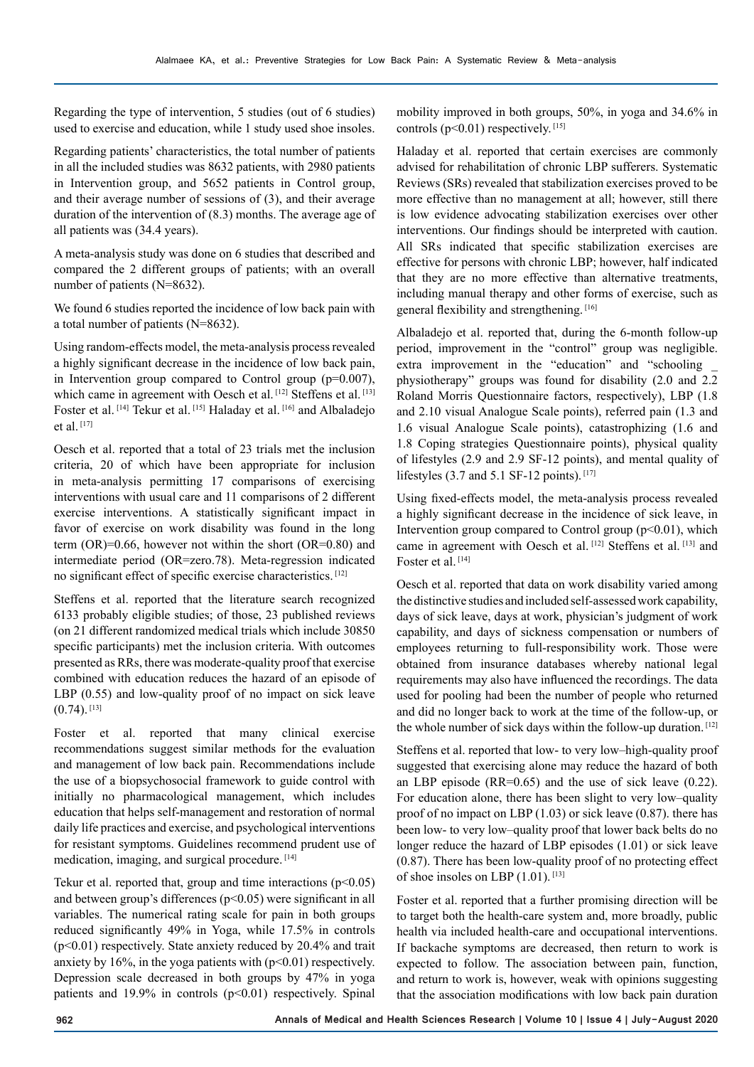Regarding the type of intervention, 5 studies (out of 6 studies) used to exercise and education, while 1 study used shoe insoles.

Regarding patients' characteristics, the total number of patients in all the included studies was 8632 patients, with 2980 patients in Intervention group, and 5652 patients in Control group, and their average number of sessions of (3), and their average duration of the intervention of (8.3) months. The average age of all patients was (34.4 years).

A meta-analysis study was done on 6 studies that described and compared the 2 different groups of patients; with an overall number of patients (N=8632).

We found 6 studies reported the incidence of low back pain with a total number of patients (N=8632).

Using random-effects model, the meta-analysis process revealed a highly significant decrease in the incidence of low back pain, in Intervention group compared to Control group (p=0.007), which came in agreement with Oesch et al. [12] Steffens et al. [13] Foster et al. [14] Tekur et al. [15] Haladay et al. [16] and Albaladejo et al. [17]

Oesch et al. reported that a total of 23 trials met the inclusion criteria, 20 of which have been appropriate for inclusion in meta-analysis permitting 17 comparisons of exercising interventions with usual care and 11 comparisons of 2 different exercise interventions. A statistically significant impact in favor of exercise on work disability was found in the long term  $(OR)=0.66$ , however not within the short  $(OR=0.80)$  and intermediate period (OR=zero.78). Meta-regression indicated no significant effect of specific exercise characteristics. [12]

Steffens et al. reported that the literature search recognized 6133 probably eligible studies; of those, 23 published reviews (on 21 different randomized medical trials which include 30850 specific participants) met the inclusion criteria. With outcomes presented as RRs, there was moderate-quality proof that exercise combined with education reduces the hazard of an episode of LBP (0.55) and low-quality proof of no impact on sick leave  $(0.74)$ . [13]

Foster et al. reported that many clinical exercise recommendations suggest similar methods for the evaluation and management of low back pain. Recommendations include the use of a biopsychosocial framework to guide control with initially no pharmacological management, which includes education that helps self-management and restoration of normal daily life practices and exercise, and psychological interventions for resistant symptoms. Guidelines recommend prudent use of medication, imaging, and surgical procedure. [14]

Tekur et al. reported that, group and time interactions  $(p<0.05)$ and between group's differences (p<0.05) were significant in all variables. The numerical rating scale for pain in both groups reduced significantly 49% in Yoga, while 17.5% in controls (p<0.01) respectively. State anxiety reduced by 20.4% and trait anxiety by 16%, in the yoga patients with  $(p<0.01)$  respectively. Depression scale decreased in both groups by 47% in yoga patients and  $19.9\%$  in controls ( $p<0.01$ ) respectively. Spinal

mobility improved in both groups, 50%, in yoga and 34.6% in controls  $(p<0.01)$  respectively. [15]

Haladay et al. reported that certain exercises are commonly advised for rehabilitation of chronic LBP sufferers. Systematic Reviews (SRs) revealed that stabilization exercises proved to be more effective than no management at all; however, still there is low evidence advocating stabilization exercises over other interventions. Our findings should be interpreted with caution. All SRs indicated that specific stabilization exercises are effective for persons with chronic LBP; however, half indicated that they are no more effective than alternative treatments, including manual therapy and other forms of exercise, such as general flexibility and strengthening. [16]

Albaladejo et al. reported that, during the 6-month follow-up period, improvement in the "control" group was negligible. extra improvement in the "education" and "schooling \_ physiotherapy" groups was found for disability (2.0 and 2.2 Roland Morris Questionnaire factors, respectively), LBP (1.8 and 2.10 visual Analogue Scale points), referred pain (1.3 and 1.6 visual Analogue Scale points), catastrophizing (1.6 and 1.8 Coping strategies Questionnaire points), physical quality of lifestyles (2.9 and 2.9 SF-12 points), and mental quality of lifestyles (3.7 and 5.1 SF-12 points).  $[17]$ 

Using fixed-effects model, the meta-analysis process revealed a highly significant decrease in the incidence of sick leave, in Intervention group compared to Control group  $(p<0.01)$ , which came in agreement with Oesch et al. [12] Steffens et al. [13] and Foster et al.<sup>[14]</sup>

Oesch et al. reported that data on work disability varied among the distinctive studies and included self-assessed work capability, days of sick leave, days at work, physician's judgment of work capability, and days of sickness compensation or numbers of employees returning to full-responsibility work. Those were obtained from insurance databases whereby national legal requirements may also have influenced the recordings. The data used for pooling had been the number of people who returned and did no longer back to work at the time of the follow-up, or the whole number of sick days within the follow-up duration. [12]

Steffens et al. reported that low- to very low–high-quality proof suggested that exercising alone may reduce the hazard of both an LBP episode (RR=0.65) and the use of sick leave (0.22). For education alone, there has been slight to very low–quality proof of no impact on LBP (1.03) or sick leave (0.87). there has been low- to very low–quality proof that lower back belts do no longer reduce the hazard of LBP episodes (1.01) or sick leave (0.87). There has been low-quality proof of no protecting effect of shoe insoles on LBP (1.01). [13]

Foster et al. reported that a further promising direction will be to target both the health-care system and, more broadly, public health via included health-care and occupational interventions. If backache symptoms are decreased, then return to work is expected to follow. The association between pain, function, and return to work is, however, weak with opinions suggesting that the association modifications with low back pain duration